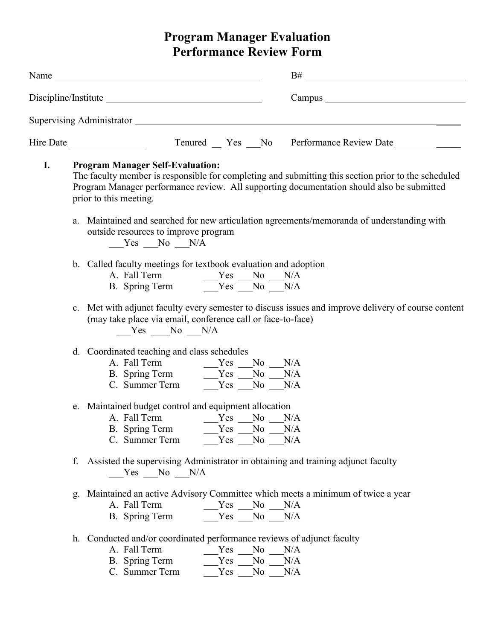## **Program Manager Evaluation Performance Review Form**

|    |                                                                                                                                                                                                                                                                       | Name<br>$B#$ and $\overline{\phantom{a}}$ and $\overline{\phantom{a}}$ and $\overline{\phantom{a}}$ and $\overline{\phantom{a}}$ and $\overline{\phantom{a}}$ and $\overline{\phantom{a}}$ and $\overline{\phantom{a}}$ and $\overline{\phantom{a}}$ and $\overline{\phantom{a}}$ and $\overline{\phantom{a}}$ and $\overline{\phantom{a}}$ and $\overline{\phantom{a}}$ and $\overline{\phantom{a}}$ and $\overline$ |  |  |
|----|-----------------------------------------------------------------------------------------------------------------------------------------------------------------------------------------------------------------------------------------------------------------------|-----------------------------------------------------------------------------------------------------------------------------------------------------------------------------------------------------------------------------------------------------------------------------------------------------------------------------------------------------------------------------------------------------------------------|--|--|
|    |                                                                                                                                                                                                                                                                       |                                                                                                                                                                                                                                                                                                                                                                                                                       |  |  |
|    |                                                                                                                                                                                                                                                                       |                                                                                                                                                                                                                                                                                                                                                                                                                       |  |  |
|    |                                                                                                                                                                                                                                                                       |                                                                                                                                                                                                                                                                                                                                                                                                                       |  |  |
| I. | <b>Program Manager Self-Evaluation:</b><br>The faculty member is responsible for completing and submitting this section prior to the scheduled<br>Program Manager performance review. All supporting documentation should also be submitted<br>prior to this meeting. |                                                                                                                                                                                                                                                                                                                                                                                                                       |  |  |
|    | a. Maintained and searched for new articulation agreements/memoranda of understanding with<br>outside resources to improve program<br>$Yes$ No $N/A$                                                                                                                  |                                                                                                                                                                                                                                                                                                                                                                                                                       |  |  |
|    |                                                                                                                                                                                                                                                                       | b. Called faculty meetings for textbook evaluation and adoption<br>A. Fall Term $\begin{array}{c c}\n\text{Yes} & \text{No} & \text{N/A} \\ \hline\n\text{B. Spring Term} & \text{Yes} & \text{No} & \text{N/A}\n\end{array}$                                                                                                                                                                                         |  |  |
|    |                                                                                                                                                                                                                                                                       | c. Met with adjunct faculty every semester to discuss issues and improve delivery of course content<br>(may take place via email, conference call or face-to-face)<br>$Yes$ No $N/A$                                                                                                                                                                                                                                  |  |  |
|    |                                                                                                                                                                                                                                                                       | d. Coordinated teaching and class schedules<br>A. Fall Term $Yes$ No N/A<br>B. Spring Term $Yes$ No N/A                                                                                                                                                                                                                                                                                                               |  |  |
|    |                                                                                                                                                                                                                                                                       | e. Maintained budget control and equipment allocation<br>B. Spring Term<br>N/A<br>Yes<br>N <sub>0</sub><br>C. Summer Term<br>$No_$<br>N/A<br>Yes                                                                                                                                                                                                                                                                      |  |  |
|    |                                                                                                                                                                                                                                                                       | f. Assisted the supervising Administrator in obtaining and training adjunct faculty<br>$Yes$ No $N/A$                                                                                                                                                                                                                                                                                                                 |  |  |
|    | g.                                                                                                                                                                                                                                                                    | Maintained an active Advisory Committee which meets a minimum of twice a year<br>A. Fall Term<br>N/A<br>Yes<br>N <sub>o</sub><br>$Yes$ No $N/A$<br>B. Spring Term                                                                                                                                                                                                                                                     |  |  |
|    |                                                                                                                                                                                                                                                                       | h. Conducted and/or coordinated performance reviews of adjunct faculty<br>A. Fall Term<br>Yes No N/A<br>B. Spring Term<br>No No<br>N/A<br>Yes<br>C. Summer Term<br>Yes<br>N <sub>o</sub><br>N/A                                                                                                                                                                                                                       |  |  |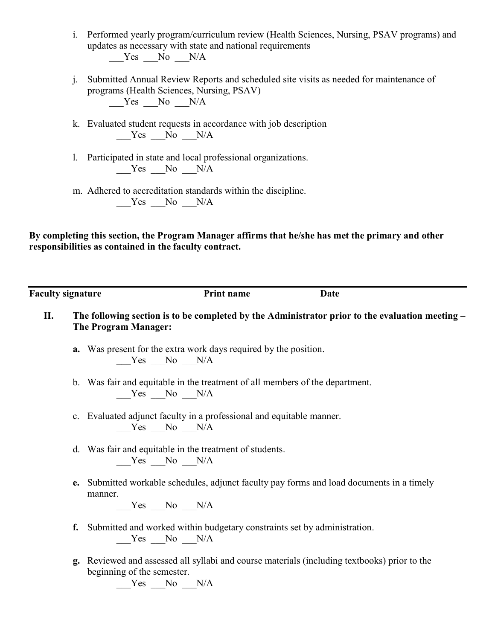- i. Performed yearly program/curriculum review (Health Sciences, Nursing, PSAV programs) and updates as necessary with state and national requirements  $Yes$  No  $N/A$
- j. Submitted Annual Review Reports and scheduled site visits as needed for maintenance of programs (Health Sciences, Nursing, PSAV)  $Yes$  No  $N/A$
- k. Evaluated student requests in accordance with job description Yes No N/A
- l. Participated in state and local professional organizations.  $Yes$  No  $N/A$
- m. Adhered to accreditation standards within the discipline.  $Yes$  No  $N/A$

**By completing this section, the Program Manager affirms that he/she has met the primary and other responsibilities as contained in the faculty contract.**

**Faculty signature Print name Date**

- **II. The following section is to be completed by the Administrator prior to the evaluation meeting – The Program Manager:**
	- **a.** Was present for the extra work days required by the position. Yes No N/A
	- b. Was fair and equitable in the treatment of all members of the department.  $Yes$  No  $N/A$
	- c. Evaluated adjunct faculty in a professional and equitable manner. Yes No N/A
	- d. Was fair and equitable in the treatment of students.  $Yes$  No  $N/A$
	- **e.** Submitted workable schedules, adjunct faculty pay forms and load documents in a timely manner.

 $Yes$  No  $N/A$ 

- **f.** Submitted and worked within budgetary constraints set by administration.  $Yes$  No N/A
- **g.** Reviewed and assessed all syllabi and course materials (including textbooks) prior to the beginning of the semester.

 $Yes$  No  $N/A$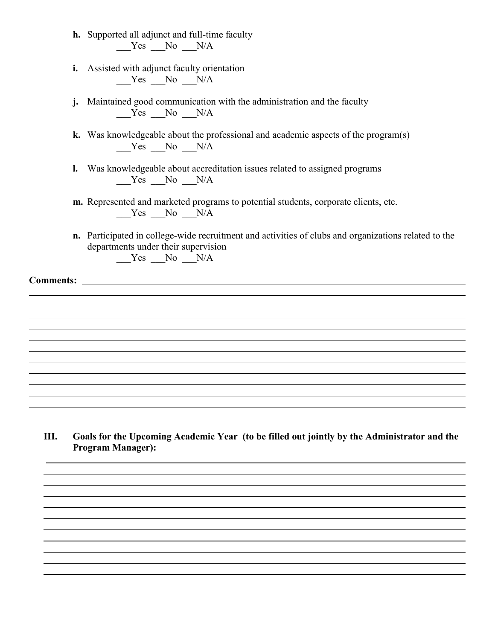- **h.** Supported all adjunct and full-time faculty  $Yes$  No  $N/A$
- **i.** Assisted with adjunct faculty orientation  $Yes$  No  $N/A$
- **j.** Maintained good communication with the administration and the faculty  $Y$ es  $No$   $N/A$
- **k.** Was knowledgeable about the professional and academic aspects of the program(s) Yes No N/A
- **l.** Was knowledgeable about accreditation issues related to assigned programs  $Yes$  No  $N/A$
- **m.** Represented and marketed programs to potential students, corporate clients, etc. Yes No N/A
- **n.** Participated in college-wide recruitment and activities of clubs and organizations related to the departments under their supervision Yes No N/A

**Comments:** 

 $\overline{a}$ 

**III. Goals for the Upcoming Academic Year (to be filled out jointly by the Administrator and the Program Manager):**